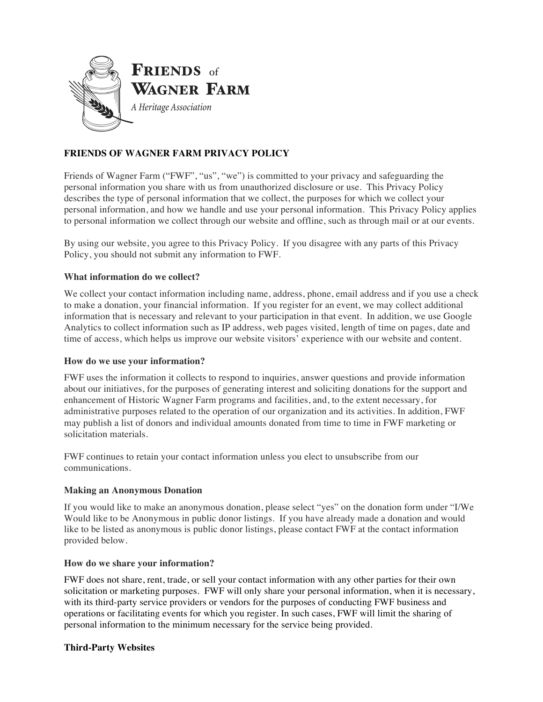

# **FRIENDS OF WAGNER FARM PRIVACY POLICY**

Friends of Wagner Farm ("FWF", "us", "we") is committed to your privacy and safeguarding the personal information you share with us from unauthorized disclosure or use. This Privacy Policy describes the type of personal information that we collect, the purposes for which we collect your personal information, and how we handle and use your personal information. This Privacy Policy applies to personal information we collect through our website and offline, such as through mail or at our events.

By using our website, you agree to this Privacy Policy. If you disagree with any parts of this Privacy Policy, you should not submit any information to FWF.

# **What information do we collect?**

We collect your contact information including name, address, phone, email address and if you use a check to make a donation, your financial information. If you register for an event, we may collect additional information that is necessary and relevant to your participation in that event. In addition, we use Google Analytics to collect information such as IP address, web pages visited, length of time on pages, date and time of access, which helps us improve our website visitors' experience with our website and content.

### **How do we use your information?**

FWF uses the information it collects to respond to inquiries, answer questions and provide information about our initiatives, for the purposes of generating interest and soliciting donations for the support and enhancement of Historic Wagner Farm programs and facilities, and, to the extent necessary, for administrative purposes related to the operation of our organization and its activities. In addition, FWF may publish a list of donors and individual amounts donated from time to time in FWF marketing or solicitation materials.

FWF continues to retain your contact information unless you elect to unsubscribe from our communications.

### **Making an Anonymous Donation**

If you would like to make an anonymous donation, please select "yes" on the donation form under "I/We Would like to be Anonymous in public donor listings. If you have already made a donation and would like to be listed as anonymous is public donor listings, please contact FWF at the contact information provided below.

### **How do we share your information?**

FWF does not share, rent, trade, or sell your contact information with any other parties for their own solicitation or marketing purposes. FWF will only share your personal information, when it is necessary, with its third-party service providers or vendors for the purposes of conducting FWF business and operations or facilitating events for which you register. In such cases, FWF will limit the sharing of personal information to the minimum necessary for the service being provided.

### **Third-Party Websites**